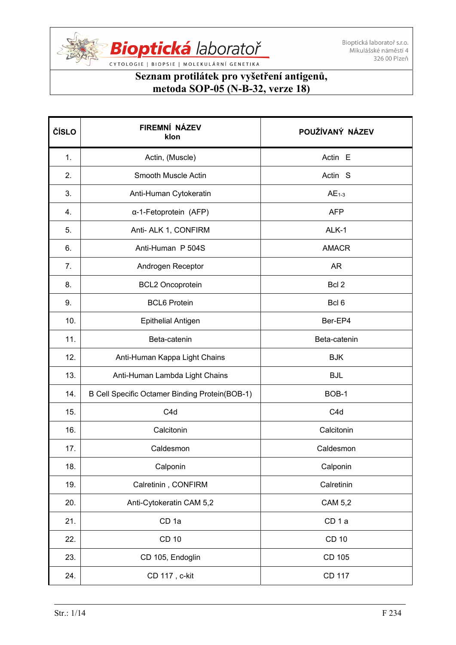

CYTOLOGIE | BIOPSIE | MOLEKULÁRNÍ GENETIKA

| ČÍSLO | FIREMNÍ NÁZEV<br>klon                          | POUŽÍVANÝ NÁZEV    |
|-------|------------------------------------------------|--------------------|
| 1.    | Actin, (Muscle)                                | Actin E            |
| 2.    | Smooth Muscle Actin                            | Actin <sub>S</sub> |
| 3.    | Anti-Human Cytokeratin                         | $AE1-3$            |
| 4.    | α-1-Fetoprotein (AFP)                          | <b>AFP</b>         |
| 5.    | Anti- ALK 1, CONFIRM                           | ALK-1              |
| 6.    | Anti-Human P 504S                              | <b>AMACR</b>       |
| 7.    | Androgen Receptor                              | <b>AR</b>          |
| 8.    | <b>BCL2 Oncoprotein</b>                        | Bcl 2              |
| 9.    | <b>BCL6 Protein</b>                            | Bcl <sub>6</sub>   |
| 10.   | <b>Epithelial Antigen</b>                      | Ber-EP4            |
| 11.   | Beta-catenin                                   | Beta-catenin       |
| 12.   | Anti-Human Kappa Light Chains                  | <b>BJK</b>         |
| 13.   | Anti-Human Lambda Light Chains                 | <b>BJL</b>         |
| 14.   | B Cell Specific Octamer Binding Protein(BOB-1) | BOB-1              |
| 15.   | C <sub>4</sub> d                               | C <sub>4</sub> d   |
| 16.   | Calcitonin                                     | Calcitonin         |
| 17.   | Caldesmon                                      | Caldesmon          |
| 18.   | Calponin                                       | Calponin           |
| 19.   | Calretinin, CONFIRM                            | Calretinin         |
| 20.   | Anti-Cytokeratin CAM 5,2                       | <b>CAM 5,2</b>     |
| 21.   | CD <sub>1a</sub>                               | CD <sub>1a</sub>   |
| 22.   | <b>CD 10</b>                                   | <b>CD 10</b>       |
| 23.   | CD 105, Endoglin                               | CD 105             |
| 24.   | CD 117, c-kit                                  | <b>CD 117</b>      |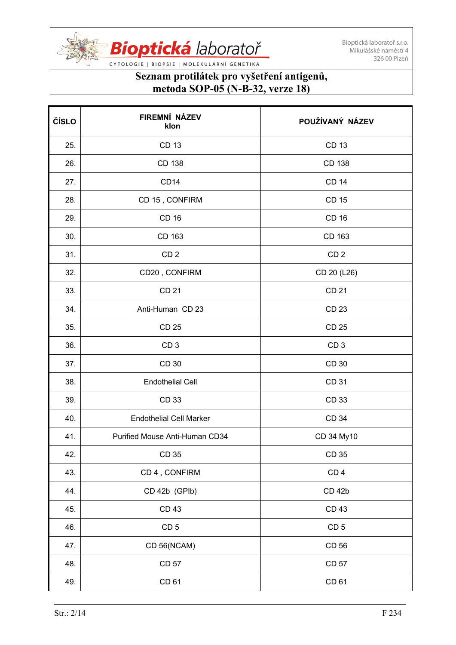

| ČÍSLO | FIREMNÍ NÁZEV<br>klon          | POUŽÍVANÝ NÁZEV |
|-------|--------------------------------|-----------------|
| 25.   | <b>CD 13</b>                   | <b>CD 13</b>    |
| 26.   | CD 138                         | CD 138          |
| 27.   | CD <sub>14</sub>               | <b>CD 14</b>    |
| 28.   | CD 15, CONFIRM                 | <b>CD 15</b>    |
| 29.   | <b>CD 16</b>                   | <b>CD 16</b>    |
| 30.   | CD 163                         | CD 163          |
| 31.   | CD <sub>2</sub>                | CD <sub>2</sub> |
| 32.   | CD20, CONFIRM                  | CD 20 (L26)     |
| 33.   | <b>CD 21</b>                   | <b>CD 21</b>    |
| 34.   | Anti-Human CD 23               | CD 23           |
| 35.   | <b>CD 25</b>                   | <b>CD 25</b>    |
| 36.   | CD <sub>3</sub>                | CD <sub>3</sub> |
| 37.   | CD 30                          | CD 30           |
| 38.   | <b>Endothelial Cell</b>        | CD 31           |
| 39.   | CD 33                          | CD 33           |
| 40.   | <b>Endothelial Cell Marker</b> | CD 34           |
| 41.   | Purified Mouse Anti-Human CD34 | CD 34 My10      |
| 42.   | <b>CD 35</b>                   | <b>CD 35</b>    |
| 43.   | CD 4, CONFIRM                  | CD <sub>4</sub> |
| 44.   | CD 42b (GPIb)                  | <b>CD 42b</b>   |
| 45.   | <b>CD 43</b>                   | <b>CD 43</b>    |
| 46.   | CD <sub>5</sub>                | CD <sub>5</sub> |
| 47.   | CD 56(NCAM)                    | CD 56           |
| 48.   | CD 57                          | <b>CD 57</b>    |
| 49.   | CD 61                          | CD 61           |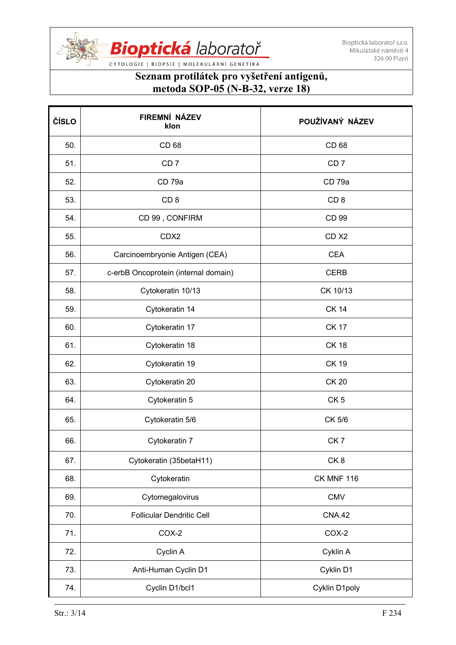

| ČÍSLO | FIREMNÍ NÁZEV<br>klon                | POUŽÍVANÝ NÁZEV   |
|-------|--------------------------------------|-------------------|
| 50.   | CD 68                                | CD 68             |
| 51.   | CD <sub>7</sub>                      | CD <sub>7</sub>   |
| 52.   | CD <sub>79a</sub>                    | CD <sub>79a</sub> |
| 53.   | CD <sub>8</sub>                      | CD <sub>8</sub>   |
| 54.   | CD 99, CONFIRM                       | CD 99             |
| 55.   | CDX2                                 | CD <sub>X2</sub>  |
| 56.   | Carcinoembryonie Antigen (CEA)       | <b>CEA</b>        |
| 57.   | c-erbB Oncoprotein (internal domain) | <b>CERB</b>       |
| 58.   | Cytokeratin 10/13                    | CK 10/13          |
| 59.   | Cytokeratin 14                       | <b>CK 14</b>      |
| 60.   | Cytokeratin 17                       | <b>CK 17</b>      |
| 61.   | Cytokeratin 18                       | <b>CK 18</b>      |
| 62.   | Cytokeratin 19                       | <b>CK 19</b>      |
| 63.   | Cytokeratin 20                       | <b>CK 20</b>      |
| 64.   | Cytokeratin 5                        | CK <sub>5</sub>   |
| 65.   | Cytokeratin 5/6                      | CK 5/6            |
| 66.   | Cytokeratin 7                        | CK <sub>7</sub>   |
| 67.   | Cytokeratin (35betaH11)              | CK8               |
| 68.   | Cytokeratin                          | <b>CK MNF 116</b> |
| 69.   | Cytomegalovirus                      | <b>CMV</b>        |
| 70.   | <b>Follicular Dendritic Cell</b>     | <b>CNA.42</b>     |
| 71.   | COX-2                                | COX-2             |
| 72.   | Cyclin A                             | Cyklin A          |
| 73.   | Anti-Human Cyclin D1                 | Cyklin D1         |
| 74.   | Cyclin D1/bcl1                       | Cyklin D1poly     |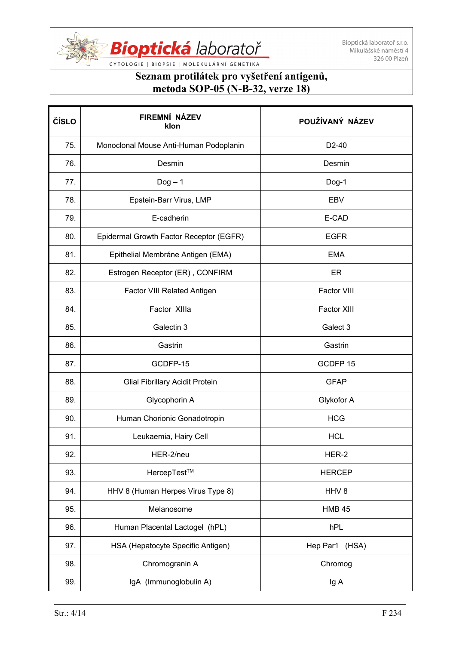

| ČÍSLO | FIREMNÍ NÁZEV<br>klon                   | POUŽÍVANÝ NÁZEV    |
|-------|-----------------------------------------|--------------------|
| 75.   | Monoclonal Mouse Anti-Human Podoplanin  | D <sub>2</sub> -40 |
| 76.   | Desmin                                  | Desmin             |
| 77.   | $Dog - 1$                               | Dog-1              |
| 78.   | Epstein-Barr Virus, LMP                 | <b>EBV</b>         |
| 79.   | E-cadherin                              | E-CAD              |
| 80.   | Epidermal Growth Factor Receptor (EGFR) | <b>EGFR</b>        |
| 81.   | Epithelial Membráne Antigen (EMA)       | <b>EMA</b>         |
| 82.   | Estrogen Receptor (ER), CONFIRM         | ER                 |
| 83.   | Factor VIII Related Antigen             | Factor VIII        |
| 84.   | Factor XIIIa                            | <b>Factor XIII</b> |
| 85.   | Galectin 3                              | Galect 3           |
| 86.   | Gastrin                                 | Gastrin            |
| 87.   | GCDFP-15                                | GCDFP 15           |
| 88.   | <b>Glial Fibrillary Acidit Protein</b>  | <b>GFAP</b>        |
| 89.   | Glycophorin A                           | Glykofor A         |
| 90.   | Human Chorionic Gonadotropin            | <b>HCG</b>         |
| 91.   | Leukaemia, Hairy Cell                   | <b>HCL</b>         |
| 92.   | HER-2/neu                               | HER-2              |
| 93.   | HercepTest™                             | <b>HERCEP</b>      |
| 94.   | HHV 8 (Human Herpes Virus Type 8)       | HHV <sub>8</sub>   |
| 95.   | Melanosome                              | <b>HMB 45</b>      |
| 96.   | Human Placental Lactogel (hPL)          | hPL                |
| 97.   | HSA (Hepatocyte Specific Antigen)       | Hep Par1 (HSA)     |
| 98.   | Chromogranin A                          | Chromog            |
| 99.   | IgA (Immunoglobulin A)                  | Ig A               |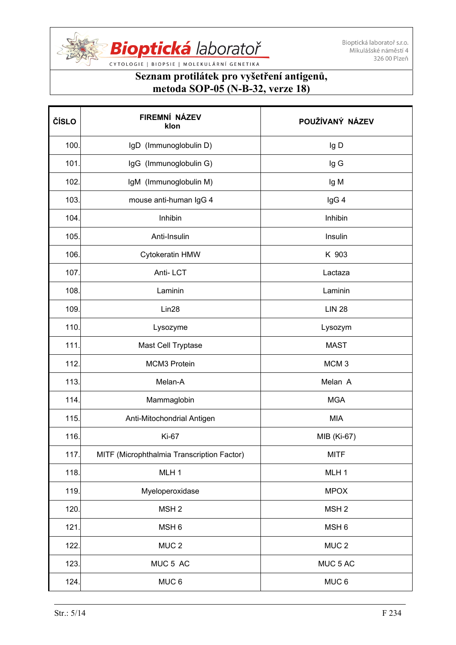

| ČÍSLO | FIREMNÍ NÁZEV<br>klon                      | POUŽÍVANÝ NÁZEV  |
|-------|--------------------------------------------|------------------|
| 100.  | IgD (Immunoglobulin D)                     | Ig D             |
| 101.  | IgG (Immunoglobulin G)                     | Ig G             |
| 102.  | IgM (Immunoglobulin M)                     | Ig M             |
| 103.  | mouse anti-human IgG 4                     | IgG 4            |
| 104.  | Inhibin                                    | Inhibin          |
| 105.  | Anti-Insulin                               | Insulin          |
| 106.  | Cytokeratin HMW                            | K 903            |
| 107.  | Anti-LCT                                   | Lactaza          |
| 108.  | Laminin                                    | Laminin          |
| 109.  | Lin28                                      | <b>LIN 28</b>    |
| 110.  | Lysozyme                                   | Lysozym          |
| 111.  | Mast Cell Tryptase                         | <b>MAST</b>      |
| 112.  | MCM3 Protein                               | MCM <sub>3</sub> |
| 113.  | Melan-A                                    | Melan A          |
| 114.  | Mammaglobin                                | <b>MGA</b>       |
| 115.  | Anti-Mitochondrial Antigen                 | <b>MIA</b>       |
| 116.  | <b>Ki-67</b>                               | MIB (Ki-67)      |
| 117.  | MITF (Microphthalmia Transcription Factor) | <b>MITF</b>      |
| 118.  | MLH <sub>1</sub>                           | MLH <sub>1</sub> |
| 119.  | Myeloperoxidase                            | <b>MPOX</b>      |
| 120.  | MSH <sub>2</sub>                           | MSH <sub>2</sub> |
| 121.  | MSH <sub>6</sub>                           | MSH <sub>6</sub> |
| 122.  | MUC <sub>2</sub>                           | MUC <sub>2</sub> |
| 123.  | MUC 5 AC                                   | MUC 5 AC         |
| 124.  | MUC <sub>6</sub>                           | MUC <sub>6</sub> |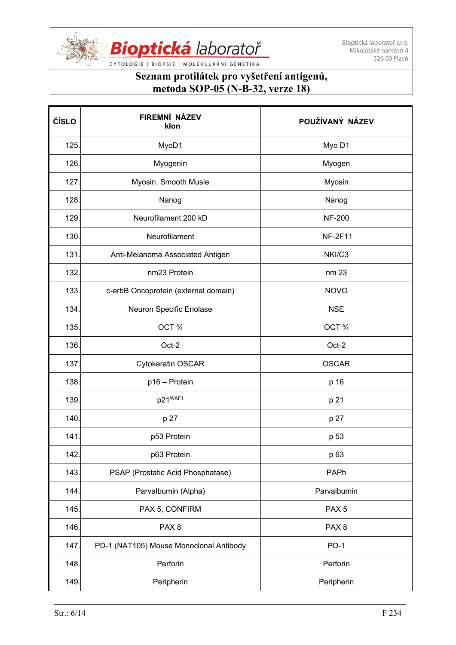

CYTOLOGIE | BIOPSIE | MOLEKULÁRNÍ GENETIKA

| ČÍSLO | FIREMNÍ NÁZEV<br>klon                   | POUŽÍVANÝ NÁZEV  |
|-------|-----------------------------------------|------------------|
| 125.  | MyoD1                                   | Myo D1           |
| 126.  | Myogenin                                | Myogen           |
| 127.  | Myosin, Smooth Musle                    | Myosin           |
| 128.  | Nanog                                   | Nanog            |
| 129.  | Neurofilament 200 kD                    | <b>NF-200</b>    |
| 130.  | Neurofilament                           | <b>NF-2F11</b>   |
| 131.  | Anti-Melanoma Associated Antigen        | NKI/C3           |
| 132.  | nm23 Protein                            | nm 23            |
| 133.  | c-erbB Oncoprotein (external domain)    | <b>NOVO</b>      |
| 134.  | Neuron Specific Enolase                 | <b>NSE</b>       |
| 135.  | OCT 3/4                                 | OCT 3/4          |
| 136.  | Oct-2                                   | Oct-2            |
| 137.  | Cytokeratin OSCAR                       | <b>OSCAR</b>     |
| 138.  | p16 - Protein                           | p 16             |
| 139.  | p21 <sup>WAF1</sup>                     | p 21             |
| 140.  | p 27                                    | p 27             |
| 141   | p53 Protein                             | p 53             |
| 142.  | p63 Protein                             | p 63             |
| 143.  | PSAP (Prostatic Acid Phosphatase)       | PAPh             |
| 144.  | Parvalbumin (Alpha)                     | Parvalbumin      |
| 145.  | PAX 5, CONFIRM                          | PAX <sub>5</sub> |
| 146.  | PAX <sub>8</sub>                        | PAX <sub>8</sub> |
| 147.  | PD-1 (NAT105) Mouse Monoclonal Antibody | $PD-1$           |
| 148.  | Perforin                                | Perforin         |
| 149.  | Peripherin                              | Peripherin       |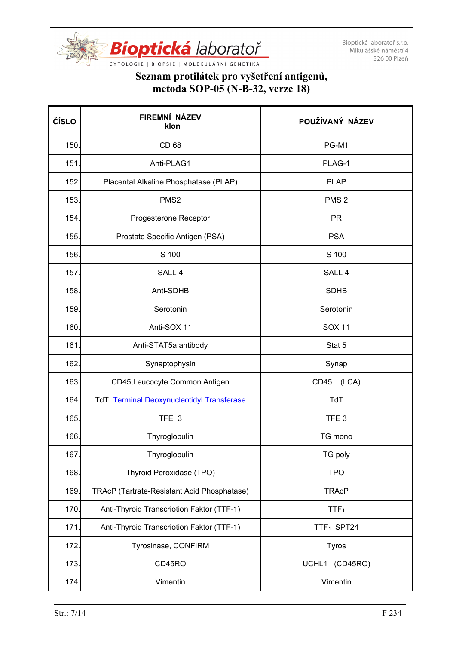

| ČÍSLO | FIREMNÍ NÁZEV<br>klon                       | POUŽÍVANÝ NÁZEV        |
|-------|---------------------------------------------|------------------------|
| 150.  | CD 68                                       | PG-M1                  |
| 151.  | Anti-PLAG1                                  | PLAG-1                 |
| 152.  | Placental Alkaline Phosphatase (PLAP)       | <b>PLAP</b>            |
| 153.  | PMS <sub>2</sub>                            | PMS <sub>2</sub>       |
| 154.  | Progesterone Receptor                       | <b>PR</b>              |
| 155.  | Prostate Specific Antigen (PSA)             | <b>PSA</b>             |
| 156.  | S 100                                       | S 100                  |
| 157.  | SALL <sub>4</sub>                           | SALL <sub>4</sub>      |
| 158.  | Anti-SDHB                                   | <b>SDHB</b>            |
| 159.  | Serotonin                                   | Serotonin              |
| 160.  | Anti-SOX 11                                 | <b>SOX 11</b>          |
| 161.  | Anti-STAT5a antibody                        | Stat 5                 |
| 162.  | Synaptophysin                               | Synap                  |
| 163.  | CD45, Leucocyte Common Antigen              | CD45<br>(LCA)          |
| 164.  | TdT Terminal Deoxynucleotidyl Transferase   | TdT                    |
| 165.  | TFE 3                                       | TFE <sub>3</sub>       |
| 166.  | Thyroglobulin                               | TG mono                |
| 167.  | Thyroglobulin                               | TG poly                |
| 168.  | Thyroid Peroxidase (TPO)                    | <b>TPO</b>             |
| 169.  | TRAcP (Tartrate-Resistant Acid Phosphatase) | <b>TRAcP</b>           |
| 170.  | Anti-Thyroid Transcriotion Faktor (TTF-1)   | TTF <sub>1</sub>       |
| 171.  | Anti-Thyroid Transcriotion Faktor (TTF-1)   | TTF <sub>1</sub> SPT24 |
| 172.  | Tyrosinase, CONFIRM                         | <b>Tyros</b>           |
| 173.  | CD45RO                                      | UCHL1 (CD45RO)         |
| 174.  | Vimentin                                    | Vimentin               |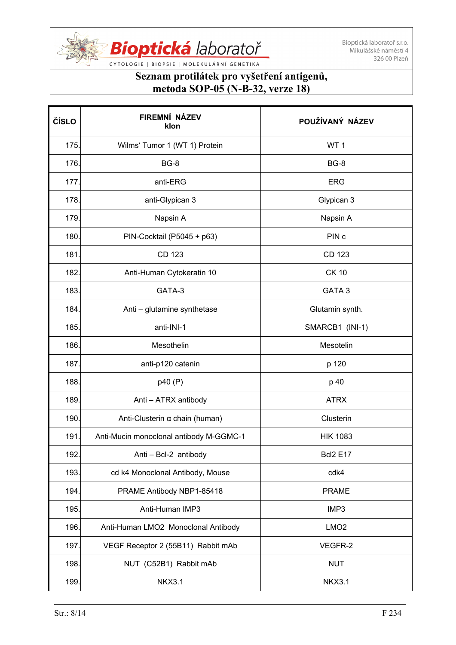

| ČÍSLO | FIREMNÍ NÁZEV<br>klon                   | POUŽÍVANÝ NÁZEV   |
|-------|-----------------------------------------|-------------------|
| 175.  | Wilms' Tumor 1 (WT 1) Protein           | WT <sub>1</sub>   |
| 176.  | <b>BG-8</b>                             | <b>BG-8</b>       |
| 177.  | anti-ERG                                | <b>ERG</b>        |
| 178.  | anti-Glypican 3                         | Glypican 3        |
| 179.  | Napsin A                                | Napsin A          |
| 180.  | PIN-Cocktail (P5045 + p63)              | PIN <sub>c</sub>  |
| 181.  | CD 123                                  | CD 123            |
| 182.  | Anti-Human Cytokeratin 10               | <b>CK 10</b>      |
| 183.  | GATA-3                                  | GATA <sub>3</sub> |
| 184.  | Anti - glutamine synthetase             | Glutamin synth.   |
| 185.  | anti-INI-1                              | SMARCB1 (INI-1)   |
| 186.  | Mesothelin                              | Mesotelin         |
| 187.  | anti-p120 catenin                       | p 120             |
| 188.  | p40 (P)                                 | p 40              |
| 189.  | Anti - ATRX antibody                    | <b>ATRX</b>       |
| 190.  | Anti-Clusterin $\alpha$ chain (human)   | Clusterin         |
| 191   | Anti-Mucin monoclonal antibody M-GGMC-1 | <b>HIK 1083</b>   |
| 192.  | Anti - Bcl-2 antibody                   | <b>Bcl2 E17</b>   |
| 193.  | cd k4 Monoclonal Antibody, Mouse        | cdk4              |
| 194.  | PRAME Antibody NBP1-85418               | <b>PRAME</b>      |
| 195.  | Anti-Human IMP3                         | IMP3              |
| 196.  | Anti-Human LMO2 Monoclonal Antibody     | LMO <sub>2</sub>  |
| 197.  | VEGF Receptor 2 (55B11) Rabbit mAb      | VEGFR-2           |
| 198.  | NUT (C52B1) Rabbit mAb                  | <b>NUT</b>        |
| 199.  | <b>NKX3.1</b>                           | <b>NKX3.1</b>     |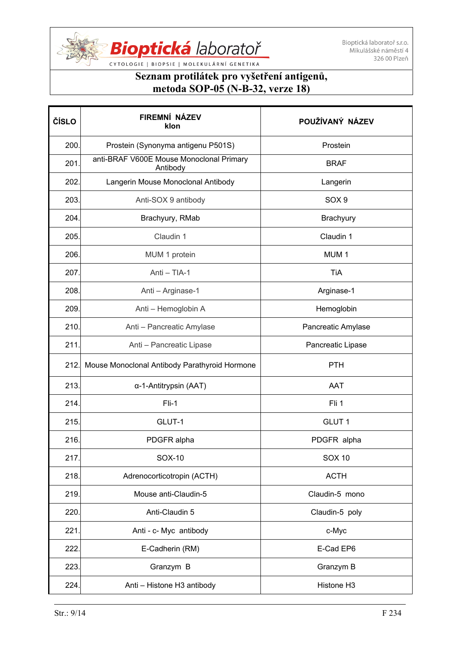

| ČÍSLO | FIREMNÍ NÁZEV<br>klon                                | POUŽÍVANÝ NÁZEV    |
|-------|------------------------------------------------------|--------------------|
| 200.  | Prostein (Synonyma antigenu P501S)                   | Prostein           |
| 201   | anti-BRAF V600E Mouse Monoclonal Primary<br>Antibody | <b>BRAF</b>        |
| 202.  | Langerin Mouse Monoclonal Antibody                   | Langerin           |
| 203.  | Anti-SOX 9 antibody                                  | SOX <sub>9</sub>   |
| 204.  | Brachyury, RMab                                      | Brachyury          |
| 205.  | Claudin 1                                            | Claudin 1          |
| 206.  | MUM 1 protein                                        | MUM <sub>1</sub>   |
| 207.  | Anti - TIA-1                                         | TiA                |
| 208.  | Anti - Arginase-1                                    | Arginase-1         |
| 209.  | Anti - Hemoglobin A                                  | Hemoglobin         |
| 210.  | Anti - Pancreatic Amylase                            | Pancreatic Amylase |
| 211.  | Anti - Pancreatic Lipase                             | Pancreatic Lipase  |
| 212.  | Mouse Monoclonal Antibody Parathyroid Hormone        | <b>PTH</b>         |
| 213.  | α-1-Antitrypsin (AAT)                                | <b>AAT</b>         |
| 214.  | $Fli-1$                                              | Fli 1              |
| 215.  | GLUT-1                                               | GLUT <sub>1</sub>  |
| 216.  | PDGFR alpha                                          | PDGFR alpha        |
| 217.  | SOX-10                                               | <b>SOX 10</b>      |
| 218.  | Adrenocorticotropin (ACTH)                           | <b>ACTH</b>        |
| 219.  | Mouse anti-Claudin-5                                 | Claudin-5 mono     |
| 220.  | Anti-Claudin 5                                       | Claudin-5 poly     |
| 221.  | Anti - c- Myc antibody                               | c-Myc              |
| 222.  | E-Cadherin (RM)                                      | E-Cad EP6          |
| 223.  | Granzym B                                            | Granzym B          |
| 224.  | Anti - Histone H3 antibody                           | Histone H3         |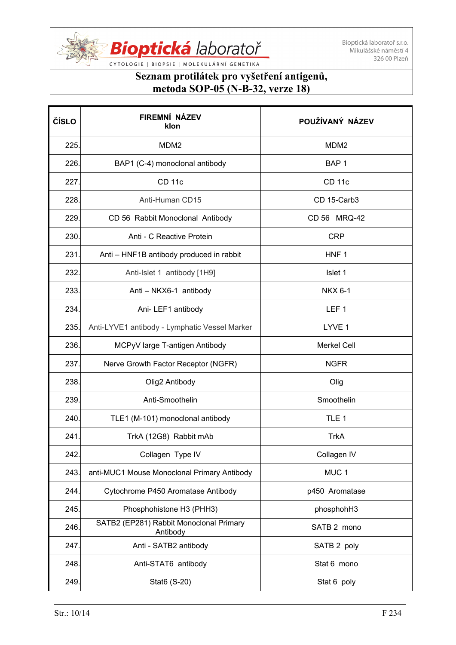

CYTOLOGIE | BIOPSIE | MOLEKULÁRNÍ GENETIKA

| ČÍSLO | FIREMNÍ NÁZEV<br>klon                               | POUŽÍVANÝ NÁZEV    |
|-------|-----------------------------------------------------|--------------------|
| 225.  | MDM <sub>2</sub>                                    | MDM <sub>2</sub>   |
| 226.  | BAP1 (C-4) monoclonal antibody                      | BAP <sub>1</sub>   |
| 227.  | <b>CD 11c</b>                                       | <b>CD 11c</b>      |
| 228.  | Anti-Human CD15                                     | CD 15-Carb3        |
| 229.  | CD 56 Rabbit Monoclonal Antibody                    | CD 56 MRQ-42       |
| 230.  | Anti - C Reactive Protein                           | <b>CRP</b>         |
| 231.  | Anti - HNF1B antibody produced in rabbit            | HNF <sub>1</sub>   |
| 232.  | Anti-Islet 1 antibody [1H9]                         | Islet 1            |
| 233.  | Anti - NKX6-1 antibody                              | <b>NKX 6-1</b>     |
| 234.  | Ani-LEF1 antibody                                   | LEF <sub>1</sub>   |
| 235.  | Anti-LYVE1 antibody - Lymphatic Vessel Marker       | LYVE 1             |
| 236.  | MCPyV large T-antigen Antibody                      | <b>Merkel Cell</b> |
| 237.  | Nerve Growth Factor Receptor (NGFR)                 | <b>NGFR</b>        |
| 238.  | Olig2 Antibody                                      | Olig               |
| 239.  | Anti-Smoothelin                                     | Smoothelin         |
| 240.  | TLE1 (M-101) monoclonal antibody                    | TLE <sub>1</sub>   |
| 241   | TrkA (12G8) Rabbit mAb                              | <b>TrkA</b>        |
| 242.  | Collagen Type IV                                    | Collagen IV        |
| 243.  | anti-MUC1 Mouse Monoclonal Primary Antibody         | MUC <sub>1</sub>   |
| 244.  | Cytochrome P450 Aromatase Antibody                  | p450 Aromatase     |
| 245.  | Phosphohistone H3 (PHH3)                            | phosphohH3         |
| 246.  | SATB2 (EP281) Rabbit Monoclonal Primary<br>Antibody | SATB 2 mono        |
| 247.  | Anti - SATB2 antibody                               | SATB 2 poly        |
| 248.  | Anti-STAT6 antibody                                 | Stat 6 mono        |
| 249.  | Stat6 (S-20)                                        | Stat 6 poly        |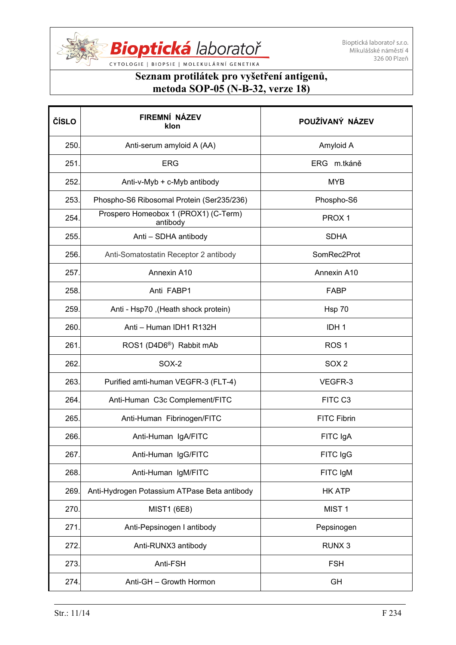

| ČÍSLO | FIREMNÍ NÁZEV<br>klon                            | POUŽÍVANÝ NÁZEV     |
|-------|--------------------------------------------------|---------------------|
| 250.  | Anti-serum amyloid A (AA)                        | Amyloid A           |
| 251.  | <b>ERG</b>                                       | ERG m.tkáně         |
| 252.  | Anti-v-Myb + c-Myb antibody                      | <b>MYB</b>          |
| 253.  | Phospho-S6 Ribosomal Protein (Ser235/236)        | Phospho-S6          |
| 254.  | Prospero Homeobox 1 (PROX1) (C-Term)<br>antibody | PROX <sub>1</sub>   |
| 255.  | Anti - SDHA antibody                             | <b>SDHA</b>         |
| 256.  | Anti-Somatostatin Receptor 2 antibody            | SomRec2Prot         |
| 257.  | Annexin A10                                      | Annexin A10         |
| 258.  | Anti FABP1                                       | <b>FABP</b>         |
| 259.  | Anti - Hsp70, (Heath shock protein)              | Hsp 70              |
| 260.  | Anti - Human IDH1 R132H                          | IDH <sub>1</sub>    |
| 261.  | ROS1 (D4D6 <sup>®</sup> ) Rabbit mAb             | ROS <sub>1</sub>    |
| 262.  | SOX-2                                            | SOX <sub>2</sub>    |
| 263.  | Purified amti-human VEGFR-3 (FLT-4)              | VEGFR-3             |
| 264.  | Anti-Human C3c Complement/FITC                   | FITC C <sub>3</sub> |
| 265.  | Anti-Human Fibrinogen/FITC                       | <b>FITC Fibrin</b>  |
| 266.  | Anti-Human IgA/FITC                              | FITC IgA            |
| 267.  | Anti-Human IgG/FITC                              | FITC IgG            |
| 268.  | Anti-Human IgM/FITC                              | FITC IgM            |
| 269.  | Anti-Hydrogen Potassium ATPase Beta antibody     | <b>HK ATP</b>       |
| 270.  | <b>MIST1 (6E8)</b>                               | MIST <sub>1</sub>   |
| 271.  | Anti-Pepsinogen I antibody                       | Pepsinogen          |
| 272.  | Anti-RUNX3 antibody                              | RUNX <sub>3</sub>   |
| 273.  | Anti-FSH                                         | <b>FSH</b>          |
| 274.  | Anti-GH - Growth Hormon                          | GH                  |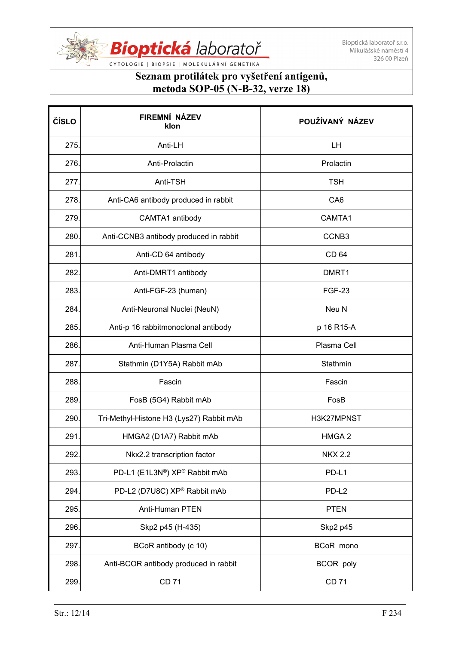

CYTOLOGIE | BIOPSIE | MOLEKULÁRNÍ GENETIKA

| ČÍSLO | FIREMNÍ NÁZEV<br>klon                    | POUŽÍVANÝ NÁZEV   |
|-------|------------------------------------------|-------------------|
| 275.  | Anti-LH                                  | LH                |
| 276.  | Anti-Prolactin                           | Prolactin         |
| 277.  | Anti-TSH                                 | <b>TSH</b>        |
| 278.  | Anti-CA6 antibody produced in rabbit     | CA <sub>6</sub>   |
| 279.  | CAMTA1 antibody                          | CAMTA1            |
| 280.  | Anti-CCNB3 antibody produced in rabbit   | CCNB <sub>3</sub> |
| 281.  | Anti-CD 64 antibody                      | CD 64             |
| 282.  | Anti-DMRT1 antibody                      | DMRT1             |
| 283.  | Anti-FGF-23 (human)                      | <b>FGF-23</b>     |
| 284.  | Anti-Neuronal Nuclei (NeuN)              | Neu N             |
| 285.  | Anti-p 16 rabbitmonoclonal antibody      | p 16 R15-A        |
| 286.  | Anti-Human Plasma Cell                   | Plasma Cell       |
| 287.  | Stathmin (D1Y5A) Rabbit mAb              | Stathmin          |
| 288.  | Fascin                                   | Fascin            |
| 289.  | FosB (5G4) Rabbit mAb                    | FosB              |
| 290.  | Tri-Methyl-Histone H3 (Lys27) Rabbit mAb | H3K27MPNST        |
| 291   | HMGA2 (D1A7) Rabbit mAb                  | HMGA <sub>2</sub> |
| 292.  | Nkx2.2 transcription factor              | <b>NKX 2.2</b>    |
| 293.  | PD-L1 (E1L3N®) XP® Rabbit mAb            | PD-L1             |
| 294.  | PD-L2 (D7U8C) XP® Rabbit mAb             | PD-L <sub>2</sub> |
| 295.  | Anti-Human PTEN                          | <b>PTEN</b>       |
| 296.  | Skp2 p45 (H-435)                         | Skp2 p45          |
| 297.  | BCoR antibody (c 10)                     | BCoR mono         |
| 298.  | Anti-BCOR antibody produced in rabbit    | <b>BCOR</b> poly  |
| 299.  | <b>CD 71</b>                             | <b>CD 71</b>      |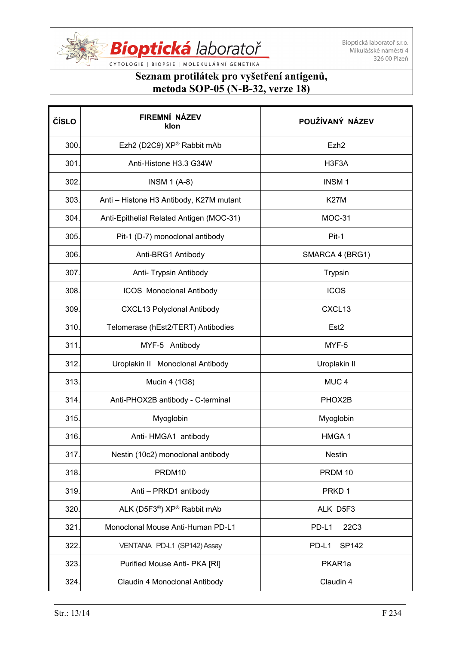

| ČÍSLO | FIREMNÍ NÁZEV<br>klon                               | POUŽÍVANÝ NÁZEV  |
|-------|-----------------------------------------------------|------------------|
| 300.  | Ezh2 (D2C9) XP® Rabbit mAb                          | Ezh <sub>2</sub> |
| 301.  | Anti-Histone H3.3 G34W                              | H3F3A            |
| 302.  | <b>INSM 1 (A-8)</b>                                 | <b>INSM1</b>     |
| 303.  | Anti - Histone H3 Antibody, K27M mutant             | <b>K27M</b>      |
| 304.  | Anti-Epithelial Related Antigen (MOC-31)            | MOC-31           |
| 305.  | Pit-1 (D-7) monoclonal antibody                     | Pit-1            |
| 306.  | Anti-BRG1 Antibody                                  | SMARCA 4 (BRG1)  |
| 307.  | Anti- Trypsin Antibody                              | Trypsin          |
| 308.  | <b>ICOS</b> Monoclonal Antibody                     | <b>ICOS</b>      |
| 309.  | <b>CXCL13 Polyclonal Antibody</b>                   | CXCL13           |
| 310.  | Telomerase (hEst2/TERT) Antibodies                  | Est <sub>2</sub> |
| 311   | MYF-5 Antibody                                      | MYF-5            |
| 312.  | Uroplakin II Monoclonal Antibody                    | Uroplakin II     |
| 313.  | Mucin 4 (1G8)                                       | MUC <sub>4</sub> |
| 314.  | Anti-PHOX2B antibody - C-terminal                   | PHOX2B           |
| 315.  | Myoglobin                                           | Myoglobin        |
| 316.  | Anti-HMGA1 antibody                                 | HMGA 1           |
| 317.  | Nestin (10c2) monoclonal antibody                   | <b>Nestin</b>    |
| 318.  | PRDM10                                              | PRDM 10          |
| 319.  | Anti - PRKD1 antibody                               | PRKD 1           |
| 320.  | ALK (D5F3 <sup>®</sup> ) XP <sup>®</sup> Rabbit mAb | ALK D5F3         |
| 321.  | Monoclonal Mouse Anti-Human PD-L1                   | PD-L1<br>22C3    |
| 322.  | VENTANA PD-L1 (SP142) Assay                         | PD-L1<br>SP142   |
| 323.  | Purified Mouse Anti- PKA [RI]                       | PKAR1a           |
| 324.  | Claudin 4 Monoclonal Antibody                       | Claudin 4        |